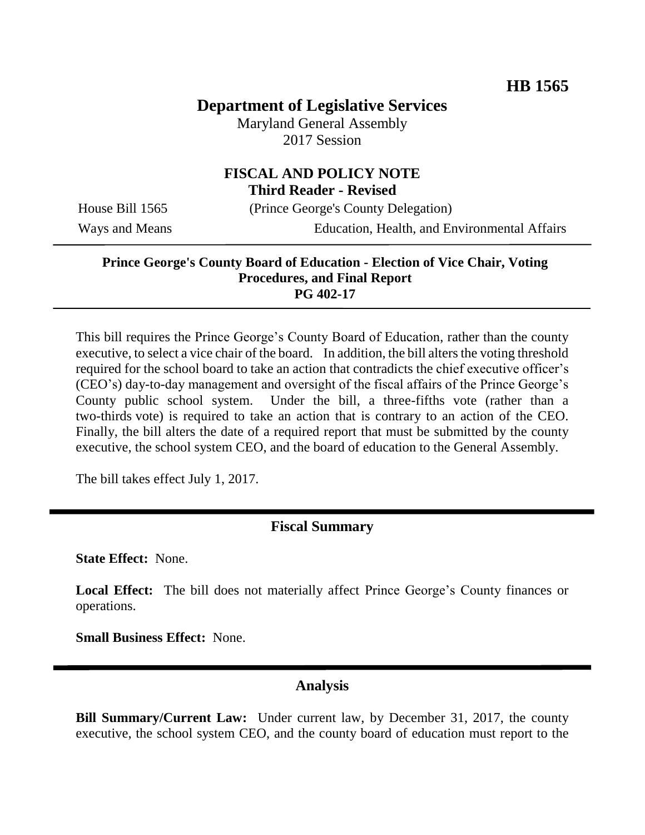## **Department of Legislative Services**

Maryland General Assembly 2017 Session

#### **FISCAL AND POLICY NOTE Third Reader - Revised**

House Bill 1565 (Prince George's County Delegation)

Ways and Means Education, Health, and Environmental Affairs

#### **Prince George's County Board of Education - Election of Vice Chair, Voting Procedures, and Final Report PG 402-17**

This bill requires the Prince George's County Board of Education, rather than the county executive, to select a vice chair of the board. In addition, the bill alters the voting threshold required for the school board to take an action that contradicts the chief executive officer's (CEO's) day-to-day management and oversight of the fiscal affairs of the Prince George's County public school system. Under the bill, a three-fifths vote (rather than a two-thirds vote) is required to take an action that is contrary to an action of the CEO. Finally, the bill alters the date of a required report that must be submitted by the county executive, the school system CEO, and the board of education to the General Assembly.

The bill takes effect July 1, 2017.

#### **Fiscal Summary**

**State Effect:** None.

**Local Effect:** The bill does not materially affect Prince George's County finances or operations.

**Small Business Effect:** None.

#### **Analysis**

**Bill Summary/Current Law:** Under current law, by December 31, 2017, the county executive, the school system CEO, and the county board of education must report to the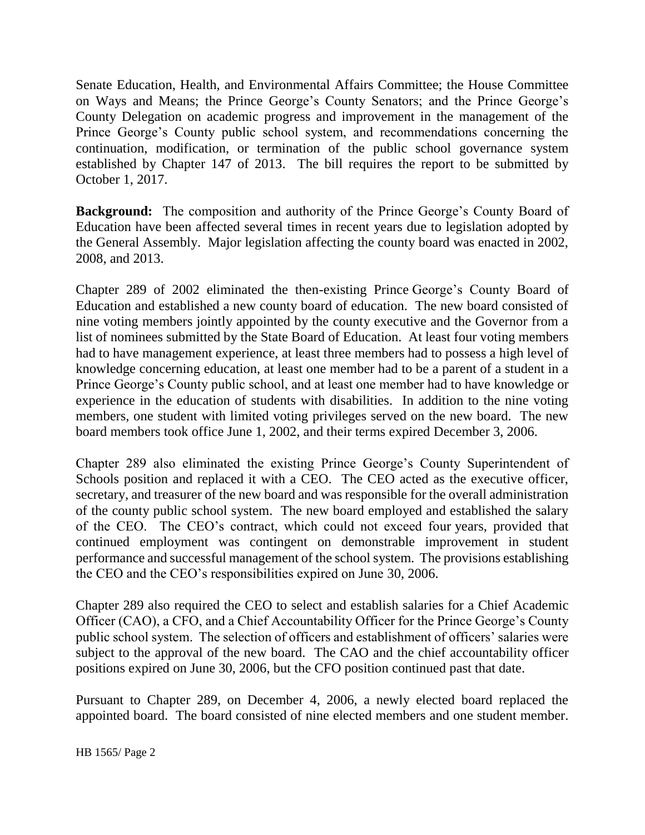Senate Education, Health, and Environmental Affairs Committee; the House Committee on Ways and Means; the Prince George's County Senators; and the Prince George's County Delegation on academic progress and improvement in the management of the Prince George's County public school system, and recommendations concerning the continuation, modification, or termination of the public school governance system established by Chapter 147 of 2013. The bill requires the report to be submitted by October 1, 2017.

**Background:** The composition and authority of the Prince George's County Board of Education have been affected several times in recent years due to legislation adopted by the General Assembly. Major legislation affecting the county board was enacted in 2002, 2008, and 2013.

Chapter 289 of 2002 eliminated the then-existing Prince George's County Board of Education and established a new county board of education. The new board consisted of nine voting members jointly appointed by the county executive and the Governor from a list of nominees submitted by the State Board of Education. At least four voting members had to have management experience, at least three members had to possess a high level of knowledge concerning education, at least one member had to be a parent of a student in a Prince George's County public school, and at least one member had to have knowledge or experience in the education of students with disabilities. In addition to the nine voting members, one student with limited voting privileges served on the new board. The new board members took office June 1, 2002, and their terms expired December 3, 2006.

Chapter 289 also eliminated the existing Prince George's County Superintendent of Schools position and replaced it with a CEO. The CEO acted as the executive officer, secretary, and treasurer of the new board and was responsible for the overall administration of the county public school system. The new board employed and established the salary of the CEO. The CEO's contract, which could not exceed four years, provided that continued employment was contingent on demonstrable improvement in student performance and successful management of the school system. The provisions establishing the CEO and the CEO's responsibilities expired on June 30, 2006.

Chapter 289 also required the CEO to select and establish salaries for a Chief Academic Officer (CAO), a CFO, and a Chief Accountability Officer for the Prince George's County public school system. The selection of officers and establishment of officers' salaries were subject to the approval of the new board. The CAO and the chief accountability officer positions expired on June 30, 2006, but the CFO position continued past that date.

Pursuant to Chapter 289, on December 4, 2006, a newly elected board replaced the appointed board. The board consisted of nine elected members and one student member.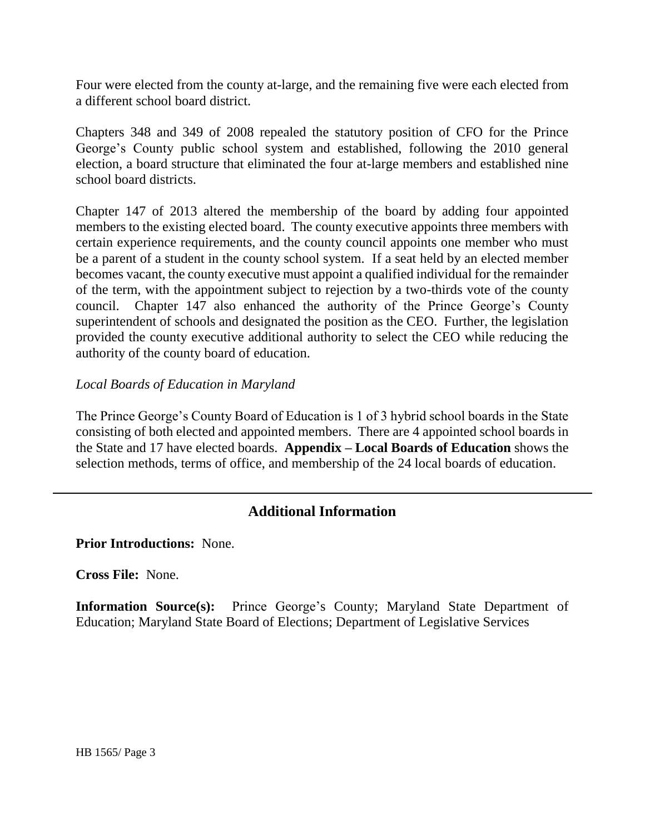Four were elected from the county at-large, and the remaining five were each elected from a different school board district.

Chapters 348 and 349 of 2008 repealed the statutory position of CFO for the Prince George's County public school system and established, following the 2010 general election, a board structure that eliminated the four at-large members and established nine school board districts.

Chapter 147 of 2013 altered the membership of the board by adding four appointed members to the existing elected board. The county executive appoints three members with certain experience requirements, and the county council appoints one member who must be a parent of a student in the county school system. If a seat held by an elected member becomes vacant, the county executive must appoint a qualified individual for the remainder of the term, with the appointment subject to rejection by a two-thirds vote of the county council. Chapter 147 also enhanced the authority of the Prince George's County superintendent of schools and designated the position as the CEO. Further, the legislation provided the county executive additional authority to select the CEO while reducing the authority of the county board of education.

### *Local Boards of Education in Maryland*

The Prince George's County Board of Education is 1 of 3 hybrid school boards in the State consisting of both elected and appointed members. There are 4 appointed school boards in the State and 17 have elected boards. **Appendix – Local Boards of Education** shows the selection methods, terms of office, and membership of the 24 local boards of education.

## **Additional Information**

**Prior Introductions:** None.

**Cross File:** None.

**Information Source(s):** Prince George's County; Maryland State Department of Education; Maryland State Board of Elections; Department of Legislative Services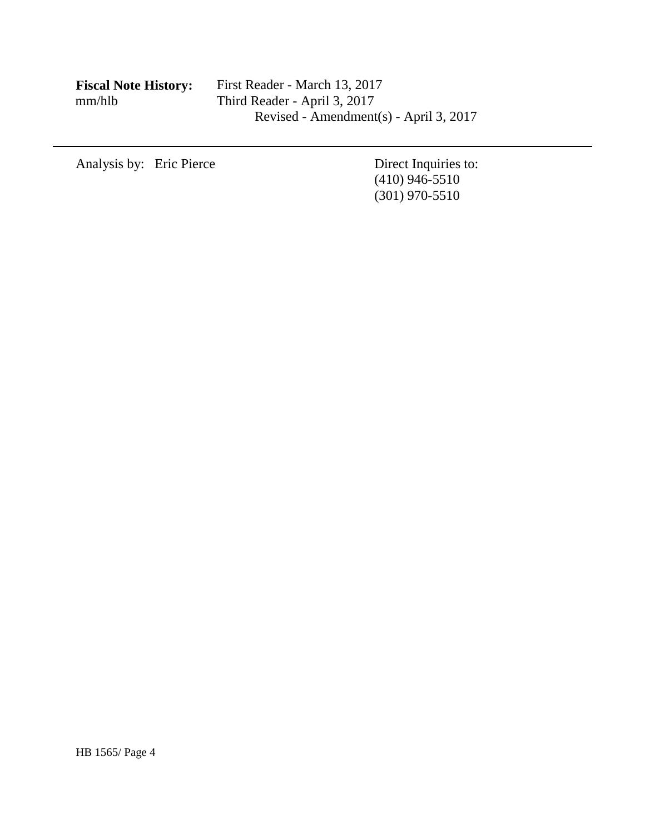| <b>Fiscal Note History:</b> |
|-----------------------------|
| mm/hlb                      |

Analysis by: Eric Pierce Direct Inquiries to:

(410) 946-5510 (301) 970-5510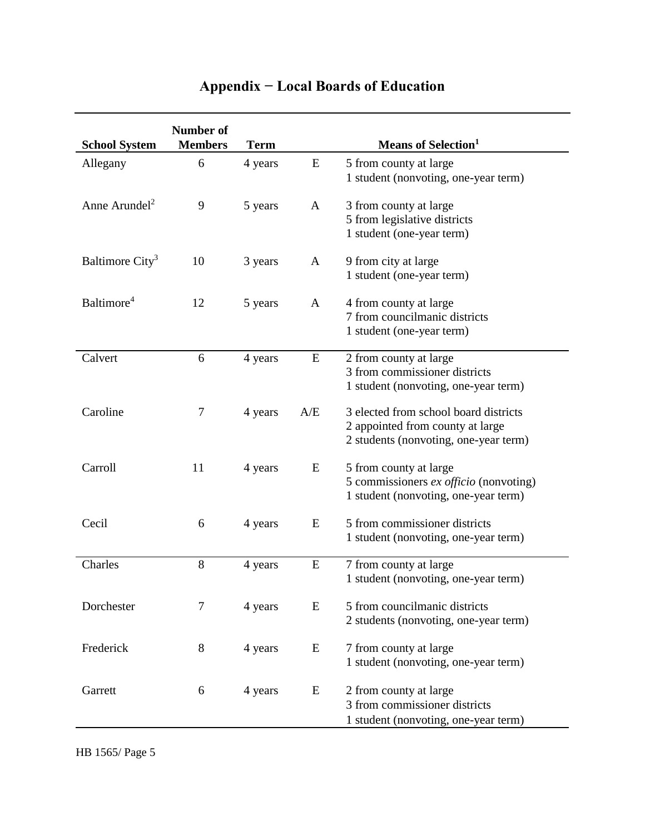| <b>School System</b>        | Number of<br><b>Members</b> | <b>Term</b> |     | <b>Means of Selection</b> <sup>1</sup>                                                                             |
|-----------------------------|-----------------------------|-------------|-----|--------------------------------------------------------------------------------------------------------------------|
| Allegany                    | 6                           | 4 years     | E   | 5 from county at large<br>1 student (nonvoting, one-year term)                                                     |
| Anne Arundel <sup>2</sup>   | 9                           | 5 years     | A   | 3 from county at large<br>5 from legislative districts<br>1 student (one-year term)                                |
| Baltimore City <sup>3</sup> | 10                          | 3 years     | A   | 9 from city at large<br>1 student (one-year term)                                                                  |
| Baltimore <sup>4</sup>      | 12                          | 5 years     | A   | 4 from county at large<br>7 from councilmanic districts<br>1 student (one-year term)                               |
| Calvert                     | 6                           | 4 years     | E   | 2 from county at large<br>3 from commissioner districts<br>1 student (nonvoting, one-year term)                    |
| Caroline                    | 7                           | 4 years     | A/E | 3 elected from school board districts<br>2 appointed from county at large<br>2 students (nonvoting, one-year term) |
| Carroll                     | 11                          | 4 years     | E   | 5 from county at large<br>5 commissioners ex officio (nonvoting)<br>1 student (nonvoting, one-year term)           |
| Cecil                       | 6                           | 4 years     | E   | 5 from commissioner districts<br>1 student (nonvoting, one-year term)                                              |
| Charles                     | 8                           | 4 years     | E   | 7 from county at large<br>1 student (nonvoting, one-year term)                                                     |
| Dorchester                  | 7                           | 4 years     | E   | 5 from councilmanic districts<br>2 students (nonvoting, one-year term)                                             |
| Frederick                   | 8                           | 4 years     | E   | 7 from county at large<br>1 student (nonvoting, one-year term)                                                     |
| Garrett                     | 6                           | 4 years     | E   | 2 from county at large<br>3 from commissioner districts<br>1 student (nonvoting, one-year term)                    |

# **Appendix − Local Boards of Education**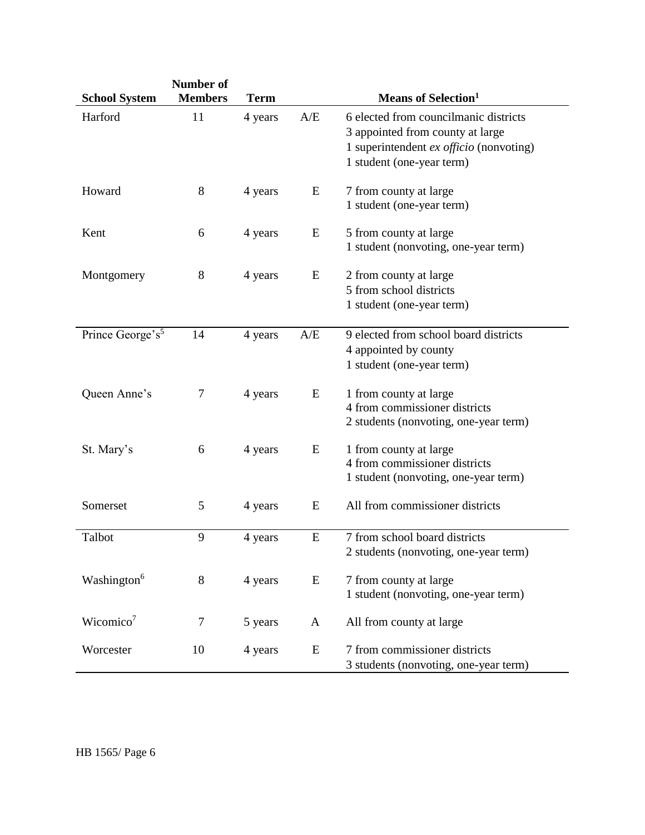|                                 | <b>Number of</b>     |                        |              |                                                                                                                                                                                      |
|---------------------------------|----------------------|------------------------|--------------|--------------------------------------------------------------------------------------------------------------------------------------------------------------------------------------|
| <b>School System</b><br>Harford | <b>Members</b><br>11 | <b>Term</b><br>4 years | A/E          | Means of Selection <sup>1</sup><br>6 elected from councilmanic districts<br>3 appointed from county at large<br>1 superintendent ex officio (nonvoting)<br>1 student (one-year term) |
| Howard                          | 8                    | 4 years                | E            | 7 from county at large<br>1 student (one-year term)                                                                                                                                  |
| Kent                            | 6                    | 4 years                | E            | 5 from county at large<br>1 student (nonvoting, one-year term)                                                                                                                       |
| Montgomery                      | $8\,$                | 4 years                | E            | 2 from county at large<br>5 from school districts<br>1 student (one-year term)                                                                                                       |
| Prince George's <sup>5</sup>    | 14                   | 4 years                | A/E          | 9 elected from school board districts<br>4 appointed by county<br>1 student (one-year term)                                                                                          |
| Queen Anne's                    | 7                    | 4 years                | E            | 1 from county at large<br>4 from commissioner districts<br>2 students (nonvoting, one-year term)                                                                                     |
| St. Mary's                      | 6                    | 4 years                | E            | 1 from county at large<br>4 from commissioner districts<br>1 student (nonvoting, one-year term)                                                                                      |
| Somerset                        | 5                    | 4 years                | E            | All from commissioner districts                                                                                                                                                      |
| Talbot                          | 9                    | 4 years                | E            | 7 from school board districts<br>2 students (nonvoting, one-year term)                                                                                                               |
| Washington <sup>6</sup>         | 8                    | 4 years                | E            | 7 from county at large<br>1 student (nonvoting, one-year term)                                                                                                                       |
| Wicomico <sup>7</sup>           | 7                    | 5 years                | $\mathbf{A}$ | All from county at large                                                                                                                                                             |
| Worcester                       | 10                   | 4 years                | ${\bf E}$    | 7 from commissioner districts<br>3 students (nonvoting, one-year term)                                                                                                               |